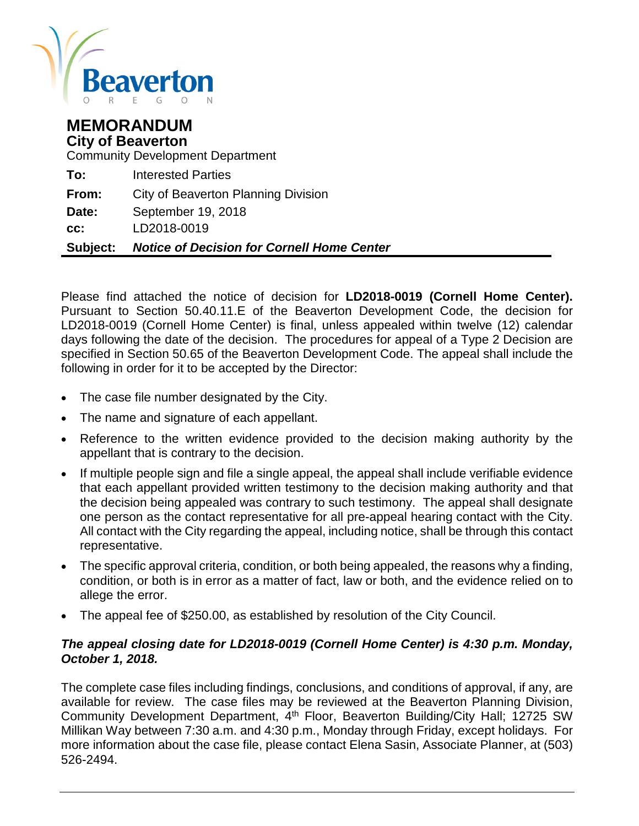

# **MEMORANDUM City of Beaverton**

Community Development Department

| Subject: | <b>Notice of Decision for Cornell Home Center</b> |
|----------|---------------------------------------------------|
| cc:      | LD2018-0019                                       |
| Date:    | September 19, 2018                                |
| From:    | City of Beaverton Planning Division               |
| To:      | <b>Interested Parties</b>                         |

Please find attached the notice of decision for **LD2018-0019 (Cornell Home Center).**  Pursuant to Section 50.40.11.E of the Beaverton Development Code, the decision for LD2018-0019 (Cornell Home Center) is final, unless appealed within twelve (12) calendar days following the date of the decision. The procedures for appeal of a Type 2 Decision are specified in Section 50.65 of the Beaverton Development Code. The appeal shall include the following in order for it to be accepted by the Director:

- The case file number designated by the City.
- The name and signature of each appellant.
- Reference to the written evidence provided to the decision making authority by the appellant that is contrary to the decision.
- If multiple people sign and file a single appeal, the appeal shall include verifiable evidence that each appellant provided written testimony to the decision making authority and that the decision being appealed was contrary to such testimony. The appeal shall designate one person as the contact representative for all pre-appeal hearing contact with the City. All contact with the City regarding the appeal, including notice, shall be through this contact representative.
- The specific approval criteria, condition, or both being appealed, the reasons why a finding, condition, or both is in error as a matter of fact, law or both, and the evidence relied on to allege the error.
- The appeal fee of \$250.00, as established by resolution of the City Council.

# *The appeal closing date for LD2018-0019 (Cornell Home Center) is 4:30 p.m. Monday, October 1, 2018.*

The complete case files including findings, conclusions, and conditions of approval, if any, are available for review. The case files may be reviewed at the Beaverton Planning Division, Community Development Department, 4th Floor, Beaverton Building/City Hall; 12725 SW Millikan Way between 7:30 a.m. and 4:30 p.m., Monday through Friday, except holidays. For more information about the case file, please contact Elena Sasin, Associate Planner, at (503) 526-2494.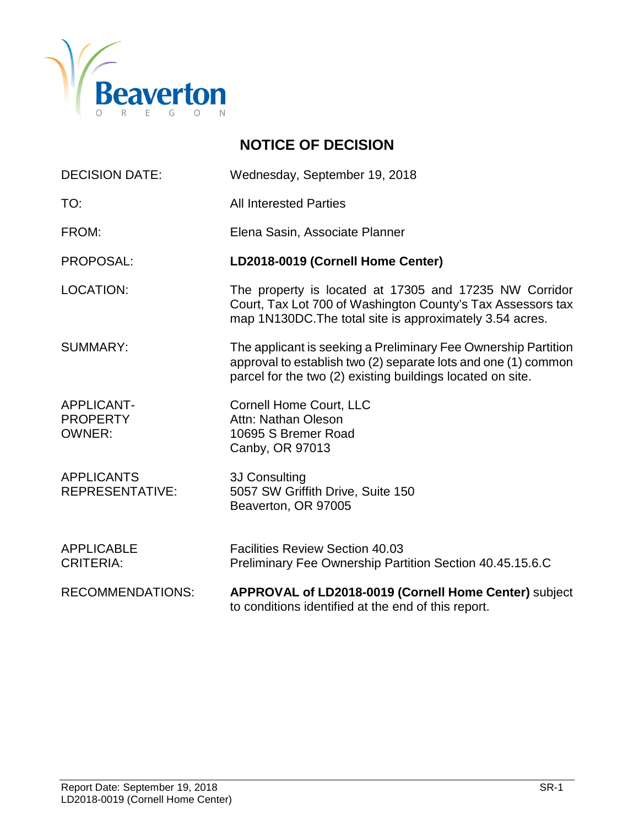

# **NOTICE OF DECISION**

| <b>DECISION DATE:</b>                                 | Wednesday, September 19, 2018                                                                                                                                                                  |
|-------------------------------------------------------|------------------------------------------------------------------------------------------------------------------------------------------------------------------------------------------------|
| TO:                                                   | <b>All Interested Parties</b>                                                                                                                                                                  |
| FROM:                                                 | Elena Sasin, Associate Planner                                                                                                                                                                 |
| PROPOSAL:                                             | LD2018-0019 (Cornell Home Center)                                                                                                                                                              |
| <b>LOCATION:</b>                                      | The property is located at 17305 and 17235 NW Corridor<br>Court, Tax Lot 700 of Washington County's Tax Assessors tax<br>map 1N130DC. The total site is approximately 3.54 acres.              |
| <b>SUMMARY:</b>                                       | The applicant is seeking a Preliminary Fee Ownership Partition<br>approval to establish two (2) separate lots and one (1) common<br>parcel for the two (2) existing buildings located on site. |
| <b>APPLICANT-</b><br><b>PROPERTY</b><br><b>OWNER:</b> | <b>Cornell Home Court, LLC</b><br>Attn: Nathan Oleson<br>10695 S Bremer Road<br>Canby, OR 97013                                                                                                |
| <b>APPLICANTS</b><br><b>REPRESENTATIVE:</b>           | 3J Consulting<br>5057 SW Griffith Drive, Suite 150<br>Beaverton, OR 97005                                                                                                                      |
| <b>APPLICABLE</b><br><b>CRITERIA:</b>                 | <b>Facilities Review Section 40.03</b><br>Preliminary Fee Ownership Partition Section 40.45.15.6.C                                                                                             |
| <b>RECOMMENDATIONS:</b>                               | APPROVAL of LD2018-0019 (Cornell Home Center) subject<br>to conditions identified at the end of this report.                                                                                   |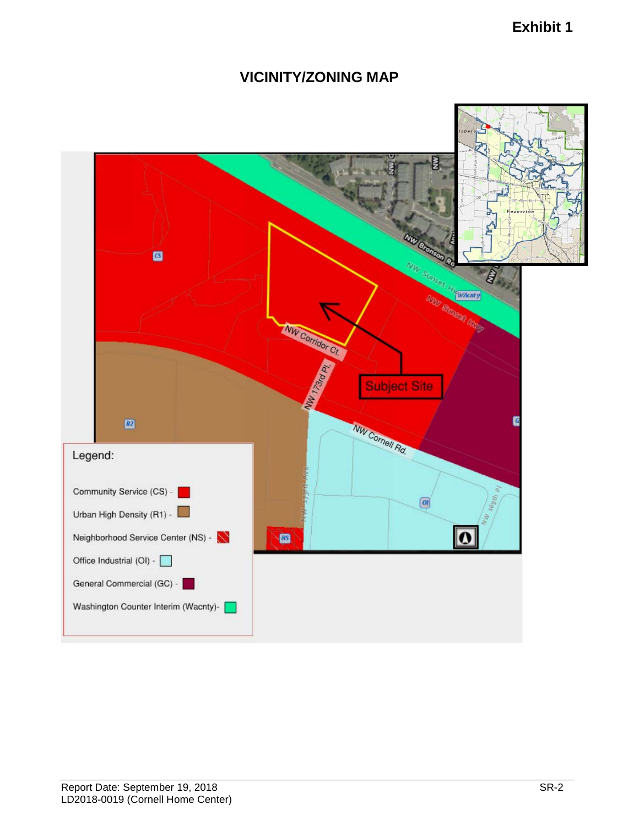# **Exhibit 1**

# **VICINITY/ZONING MAP**

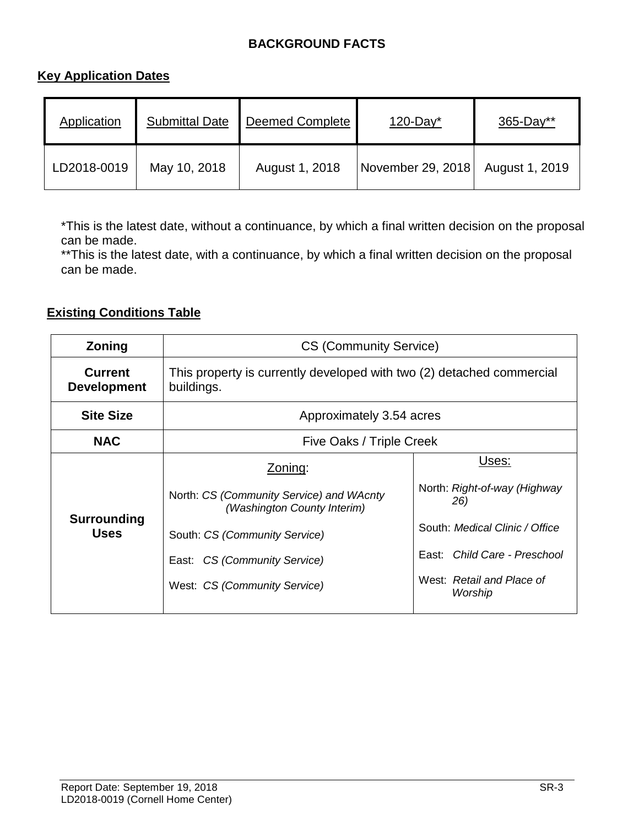# **BACKGROUND FACTS**

# **Key Application Dates**

| Application | <b>Submittal Date</b> | <b>Deemed Complete</b> | $120$ -Day*       | $365 - Day**$  |
|-------------|-----------------------|------------------------|-------------------|----------------|
| LD2018-0019 | May 10, 2018          | August 1, 2018         | November 29, 2018 | August 1, 2019 |

\*This is the latest date, without a continuance, by which a final written decision on the proposal can be made.

\*\* This is the latest date, with a continuance, by which a final written decision on the proposal can be made.

# **Existing Conditions Table**

| Zoning                               | <b>CS (Community Service)</b>                                                                                                                                                       |                                                                                                                                                        |  |  |
|--------------------------------------|-------------------------------------------------------------------------------------------------------------------------------------------------------------------------------------|--------------------------------------------------------------------------------------------------------------------------------------------------------|--|--|
| <b>Current</b><br><b>Development</b> | This property is currently developed with two (2) detached commercial<br>buildings.                                                                                                 |                                                                                                                                                        |  |  |
| <b>Site Size</b>                     | Approximately 3.54 acres                                                                                                                                                            |                                                                                                                                                        |  |  |
| <b>NAC</b>                           | Five Oaks / Triple Creek                                                                                                                                                            |                                                                                                                                                        |  |  |
| Surrounding<br><b>Uses</b>           | Zoning:<br>North: CS (Community Service) and WAcnty<br>(Washington County Interim)<br>South: CS (Community Service)<br>East: CS (Community Service)<br>West: CS (Community Service) | Uses:<br>North: Right-of-way (Highway<br>26)<br>South: Medical Clinic / Office<br>East: Child Care - Preschool<br>West: Retail and Place of<br>Worship |  |  |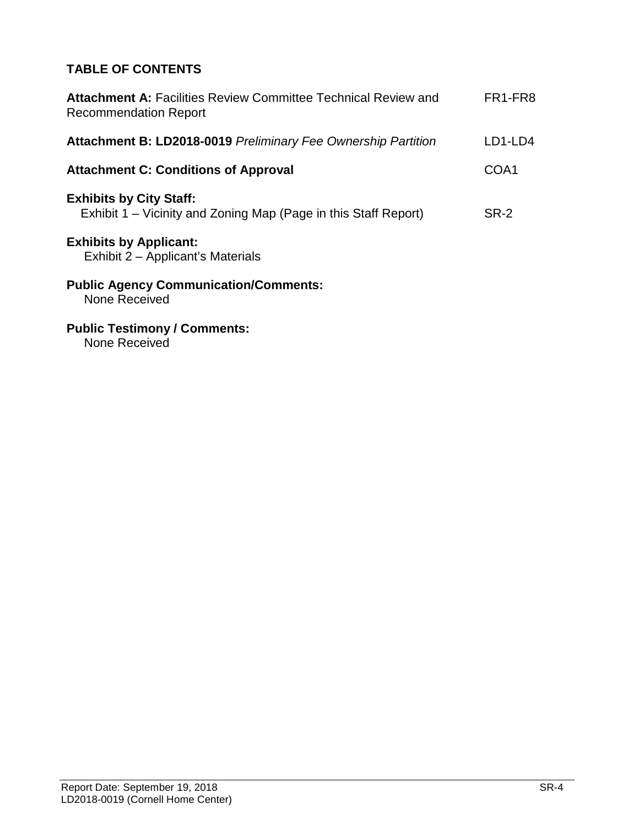# **TABLE OF CONTENTS**

| <b>Attachment A: Facilities Review Committee Technical Review and</b><br><b>Recommendation Report</b> | FR1-FR8 |
|-------------------------------------------------------------------------------------------------------|---------|
| <b>Attachment B: LD2018-0019 Preliminary Fee Ownership Partition</b>                                  | LD1-LD4 |
| <b>Attachment C: Conditions of Approval</b>                                                           | COA1    |
| <b>Exhibits by City Staff:</b><br>Exhibit 1 – Vicinity and Zoning Map (Page in this Staff Report)     | SR-2    |
| <b>Exhibits by Applicant:</b><br>Exhibit 2 – Applicant's Materials                                    |         |
| <b>Public Agency Communication/Comments:</b><br>None Received                                         |         |
|                                                                                                       |         |

**Public Testimony / Comments:**

None Received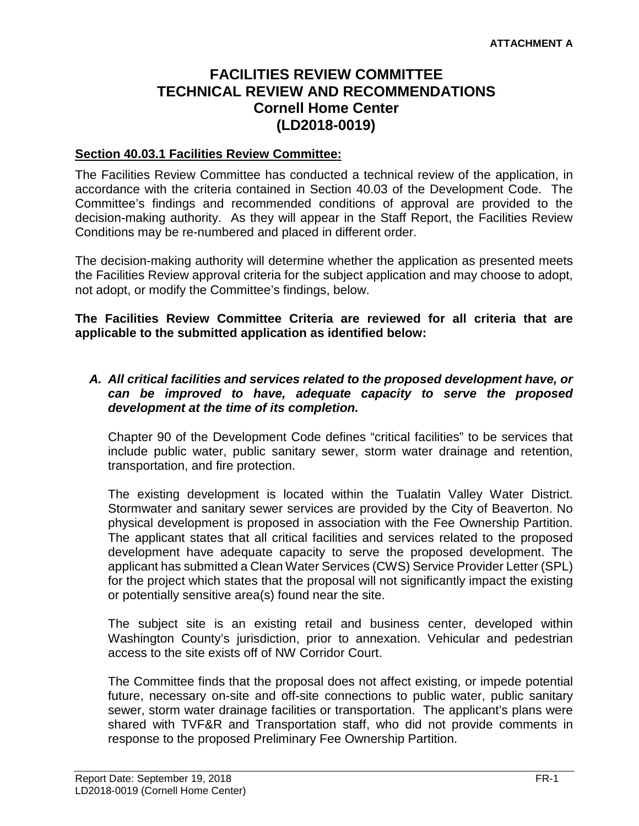# **FACILITIES REVIEW COMMITTEE TECHNICAL REVIEW AND RECOMMENDATIONS Cornell Home Center (LD2018-0019)**

# **Section 40.03.1 Facilities Review Committee:**

The Facilities Review Committee has conducted a technical review of the application, in accordance with the criteria contained in Section 40.03 of the Development Code. The Committee's findings and recommended conditions of approval are provided to the decision-making authority. As they will appear in the Staff Report, the Facilities Review Conditions may be re-numbered and placed in different order.

The decision-making authority will determine whether the application as presented meets the Facilities Review approval criteria for the subject application and may choose to adopt, not adopt, or modify the Committee's findings, below.

**The Facilities Review Committee Criteria are reviewed for all criteria that are applicable to the submitted application as identified below:**

# *A. All critical facilities and services related to the proposed development have, or can be improved to have, adequate capacity to serve the proposed development at the time of its completion.*

Chapter 90 of the Development Code defines "critical facilities" to be services that include public water, public sanitary sewer, storm water drainage and retention, transportation, and fire protection.

The existing development is located within the Tualatin Valley Water District. Stormwater and sanitary sewer services are provided by the City of Beaverton. No physical development is proposed in association with the Fee Ownership Partition. The applicant states that all critical facilities and services related to the proposed development have adequate capacity to serve the proposed development. The applicant has submitted a Clean Water Services (CWS) Service Provider Letter (SPL) for the project which states that the proposal will not significantly impact the existing or potentially sensitive area(s) found near the site.

The subject site is an existing retail and business center, developed within Washington County's jurisdiction, prior to annexation. Vehicular and pedestrian access to the site exists off of NW Corridor Court.

The Committee finds that the proposal does not affect existing, or impede potential future, necessary on-site and off-site connections to public water, public sanitary sewer, storm water drainage facilities or transportation. The applicant's plans were shared with TVF&R and Transportation staff, who did not provide comments in response to the proposed Preliminary Fee Ownership Partition.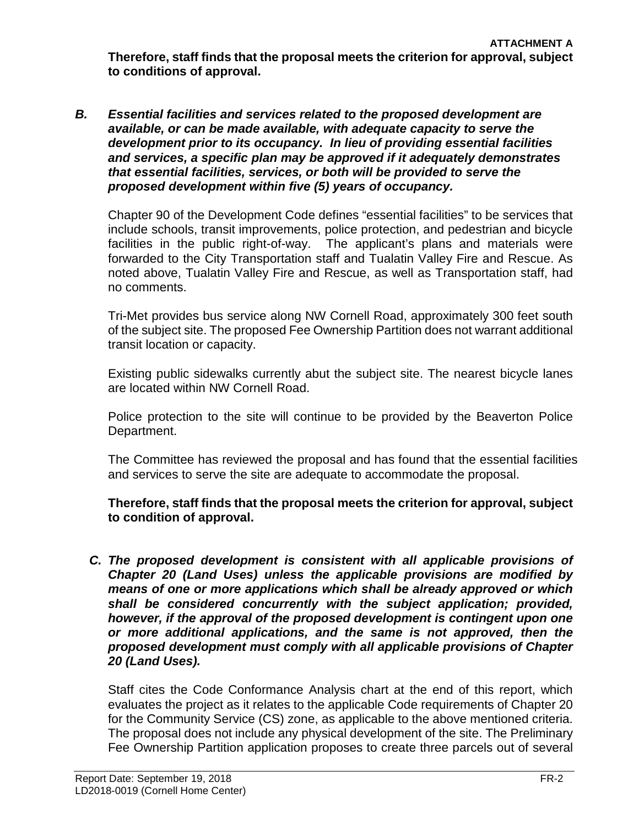*B. Essential facilities and services related to the proposed development are available, or can be made available, with adequate capacity to serve the development prior to its occupancy. In lieu of providing essential facilities and services, a specific plan may be approved if it adequately demonstrates that essential facilities, services, or both will be provided to serve the proposed development within five (5) years of occupancy.*

Chapter 90 of the Development Code defines "essential facilities" to be services that include schools, transit improvements, police protection, and pedestrian and bicycle facilities in the public right-of-way. The applicant's plans and materials were forwarded to the City Transportation staff and Tualatin Valley Fire and Rescue. As noted above, Tualatin Valley Fire and Rescue, as well as Transportation staff, had no comments.

Tri-Met provides bus service along NW Cornell Road, approximately 300 feet south of the subject site. The proposed Fee Ownership Partition does not warrant additional transit location or capacity.

Existing public sidewalks currently abut the subject site. The nearest bicycle lanes are located within NW Cornell Road.

Police protection to the site will continue to be provided by the Beaverton Police Department.

The Committee has reviewed the proposal and has found that the essential facilities and services to serve the site are adequate to accommodate the proposal.

**Therefore, staff finds that the proposal meets the criterion for approval, subject to condition of approval.**

*C. The proposed development is consistent with all applicable provisions of Chapter 20 (Land Uses) unless the applicable provisions are modified by means of one or more applications which shall be already approved or which shall be considered concurrently with the subject application; provided, however, if the approval of the proposed development is contingent upon one or more additional applications, and the same is not approved, then the proposed development must comply with all applicable provisions of Chapter 20 (Land Uses).*

Staff cites the Code Conformance Analysis chart at the end of this report, which evaluates the project as it relates to the applicable Code requirements of Chapter 20 for the Community Service (CS) zone, as applicable to the above mentioned criteria. The proposal does not include any physical development of the site. The Preliminary Fee Ownership Partition application proposes to create three parcels out of several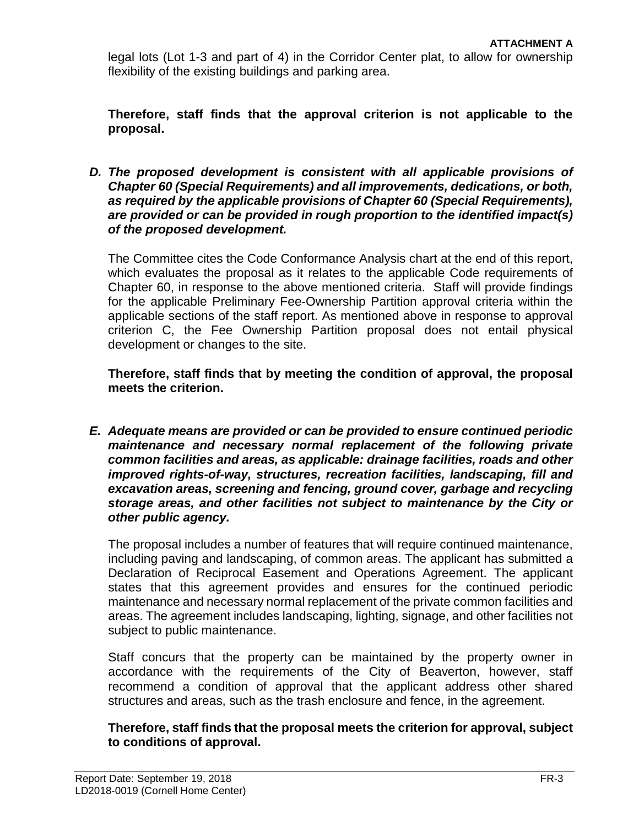legal lots (Lot 1-3 and part of 4) in the Corridor Center plat, to allow for ownership flexibility of the existing buildings and parking area.

**Therefore, staff finds that the approval criterion is not applicable to the proposal.** 

*D. The proposed development is consistent with all applicable provisions of Chapter 60 (Special Requirements) and all improvements, dedications, or both, as required by the applicable provisions of Chapter 60 (Special Requirements), are provided or can be provided in rough proportion to the identified impact(s) of the proposed development.*

The Committee cites the Code Conformance Analysis chart at the end of this report, which evaluates the proposal as it relates to the applicable Code requirements of Chapter 60, in response to the above mentioned criteria. Staff will provide findings for the applicable Preliminary Fee-Ownership Partition approval criteria within the applicable sections of the staff report. As mentioned above in response to approval criterion C, the Fee Ownership Partition proposal does not entail physical development or changes to the site.

**Therefore, staff finds that by meeting the condition of approval, the proposal meets the criterion.** 

*E. Adequate means are provided or can be provided to ensure continued periodic maintenance and necessary normal replacement of the following private common facilities and areas, as applicable: drainage facilities, roads and other improved rights-of-way, structures, recreation facilities, landscaping, fill and excavation areas, screening and fencing, ground cover, garbage and recycling storage areas, and other facilities not subject to maintenance by the City or other public agency.*

The proposal includes a number of features that will require continued maintenance, including paving and landscaping, of common areas. The applicant has submitted a Declaration of Reciprocal Easement and Operations Agreement. The applicant states that this agreement provides and ensures for the continued periodic maintenance and necessary normal replacement of the private common facilities and areas. The agreement includes landscaping, lighting, signage, and other facilities not subject to public maintenance.

Staff concurs that the property can be maintained by the property owner in accordance with the requirements of the City of Beaverton, however, staff recommend a condition of approval that the applicant address other shared structures and areas, such as the trash enclosure and fence, in the agreement.

**Therefore, staff finds that the proposal meets the criterion for approval, subject to conditions of approval.**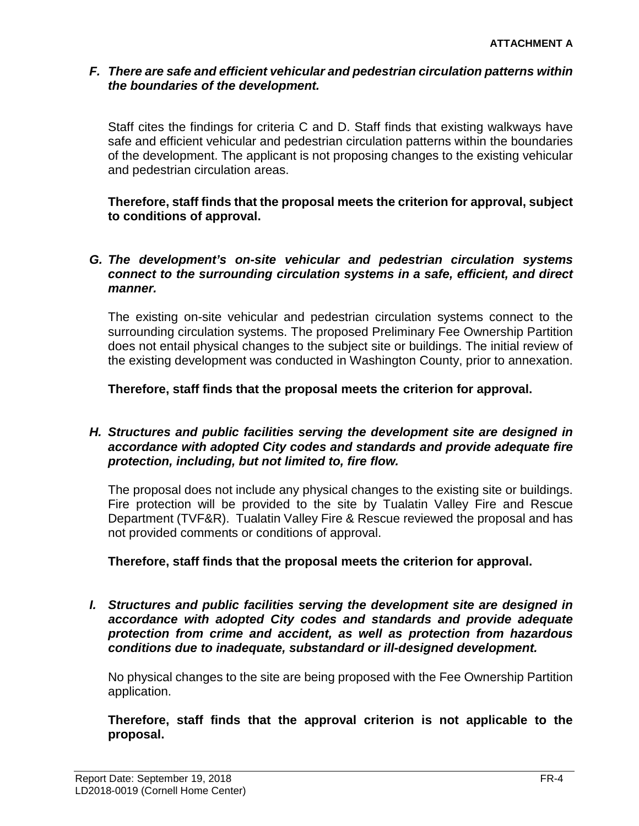# *F. There are safe and efficient vehicular and pedestrian circulation patterns within the boundaries of the development.*

Staff cites the findings for criteria C and D. Staff finds that existing walkways have safe and efficient vehicular and pedestrian circulation patterns within the boundaries of the development. The applicant is not proposing changes to the existing vehicular and pedestrian circulation areas.

**Therefore, staff finds that the proposal meets the criterion for approval, subject to conditions of approval.**

# *G. The development's on-site vehicular and pedestrian circulation systems connect to the surrounding circulation systems in a safe, efficient, and direct manner.*

The existing on-site vehicular and pedestrian circulation systems connect to the surrounding circulation systems. The proposed Preliminary Fee Ownership Partition does not entail physical changes to the subject site or buildings. The initial review of the existing development was conducted in Washington County, prior to annexation.

**Therefore, staff finds that the proposal meets the criterion for approval.**

# *H. Structures and public facilities serving the development site are designed in accordance with adopted City codes and standards and provide adequate fire protection, including, but not limited to, fire flow.*

The proposal does not include any physical changes to the existing site or buildings. Fire protection will be provided to the site by Tualatin Valley Fire and Rescue Department (TVF&R). Tualatin Valley Fire & Rescue reviewed the proposal and has not provided comments or conditions of approval.

# **Therefore, staff finds that the proposal meets the criterion for approval.**

*I. Structures and public facilities serving the development site are designed in accordance with adopted City codes and standards and provide adequate protection from crime and accident, as well as protection from hazardous conditions due to inadequate, substandard or ill-designed development.*

No physical changes to the site are being proposed with the Fee Ownership Partition application.

**Therefore, staff finds that the approval criterion is not applicable to the proposal.**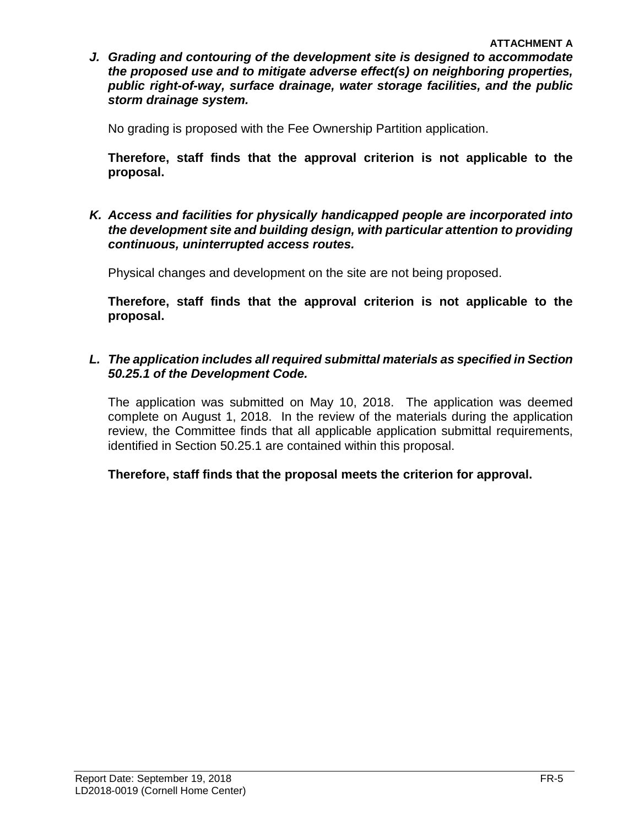*J. Grading and contouring of the development site is designed to accommodate the proposed use and to mitigate adverse effect(s) on neighboring properties, public right-of-way, surface drainage, water storage facilities, and the public storm drainage system.*

No grading is proposed with the Fee Ownership Partition application.

**Therefore, staff finds that the approval criterion is not applicable to the proposal.** 

*K. Access and facilities for physically handicapped people are incorporated into the development site and building design, with particular attention to providing continuous, uninterrupted access routes.*

Physical changes and development on the site are not being proposed.

**Therefore, staff finds that the approval criterion is not applicable to the proposal.** 

# *L. The application includes all required submittal materials as specified in Section 50.25.1 of the Development Code.*

The application was submitted on May 10, 2018. The application was deemed complete on August 1, 2018. In the review of the materials during the application review, the Committee finds that all applicable application submittal requirements, identified in Section 50.25.1 are contained within this proposal.

**Therefore, staff finds that the proposal meets the criterion for approval.**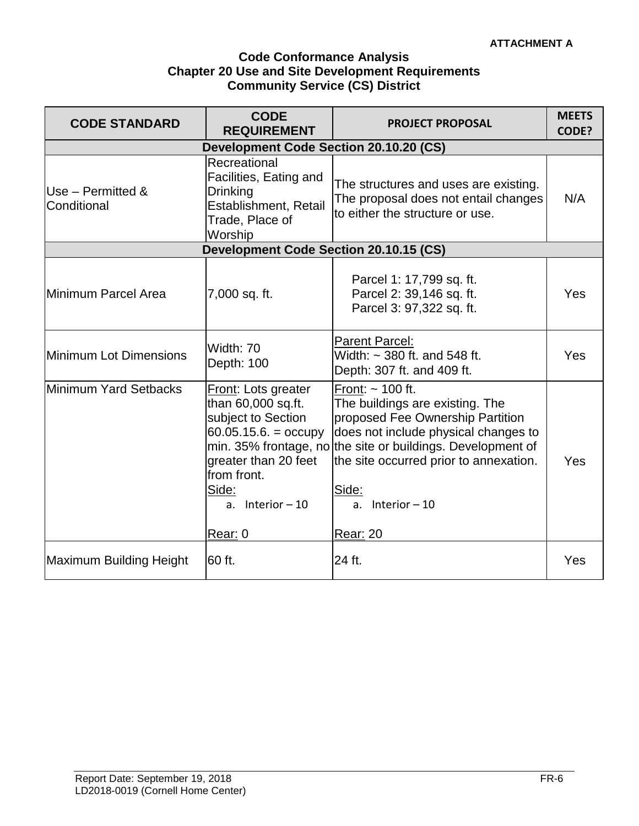# **Code Conformance Analysis Chapter 20 Use and Site Development Requirements Community Service (CS) District**

| <b>CODE STANDARD</b>                   | <b>CODE</b><br><b>REQUIREMENT</b>                                                                                                                                               | <b>PROJECT PROPOSAL</b>                                                                                                                                                                                                                                                                        | <b>MEETS</b><br>CODE? |
|----------------------------------------|---------------------------------------------------------------------------------------------------------------------------------------------------------------------------------|------------------------------------------------------------------------------------------------------------------------------------------------------------------------------------------------------------------------------------------------------------------------------------------------|-----------------------|
| Development Code Section 20.10.20 (CS) |                                                                                                                                                                                 |                                                                                                                                                                                                                                                                                                |                       |
| Use - Permitted &<br>Conditional       | Recreational<br>Facilities, Eating and<br><b>Drinking</b><br>Establishment, Retail<br>Trade, Place of<br>Worship                                                                | The structures and uses are existing.<br>The proposal does not entail changes<br>to either the structure or use.                                                                                                                                                                               | N/A                   |
|                                        | Development Code Section 20.10.15 (CS)                                                                                                                                          |                                                                                                                                                                                                                                                                                                |                       |
| Minimum Parcel Area                    | 7,000 sq. ft.                                                                                                                                                                   | Parcel 1: 17,799 sq. ft.<br>Parcel 2: 39,146 sq. ft.<br>Parcel 3: 97,322 sq. ft.                                                                                                                                                                                                               | Yes                   |
| Minimum Lot Dimensions                 | Width: 70<br>Depth: 100                                                                                                                                                         | <b>Parent Parcel:</b><br>Width: $\sim$ 380 ft. and 548 ft.<br>Depth: 307 ft. and 409 ft.                                                                                                                                                                                                       | Yes                   |
| Minimum Yard Setbacks                  | Front: Lots greater<br>than 60,000 sq.ft.<br>subject to Section<br>$60.05.15.6 = \text{occupy}$<br>greater than 20 feet<br>from front.<br>Side:<br>a. Interior $-10$<br>Rear: 0 | Front: $\sim$ 100 ft.<br>The buildings are existing. The<br>proposed Fee Ownership Partition<br>does not include physical changes to<br>min. 35% frontage, no the site or buildings. Development of<br>the site occurred prior to annexation.<br>Side:<br>a. Interior $-10$<br><b>Rear: 20</b> | Yes                   |
|                                        |                                                                                                                                                                                 |                                                                                                                                                                                                                                                                                                |                       |
| Maximum Building Height                | 60 ft.                                                                                                                                                                          | 24 ft.                                                                                                                                                                                                                                                                                         | Yes                   |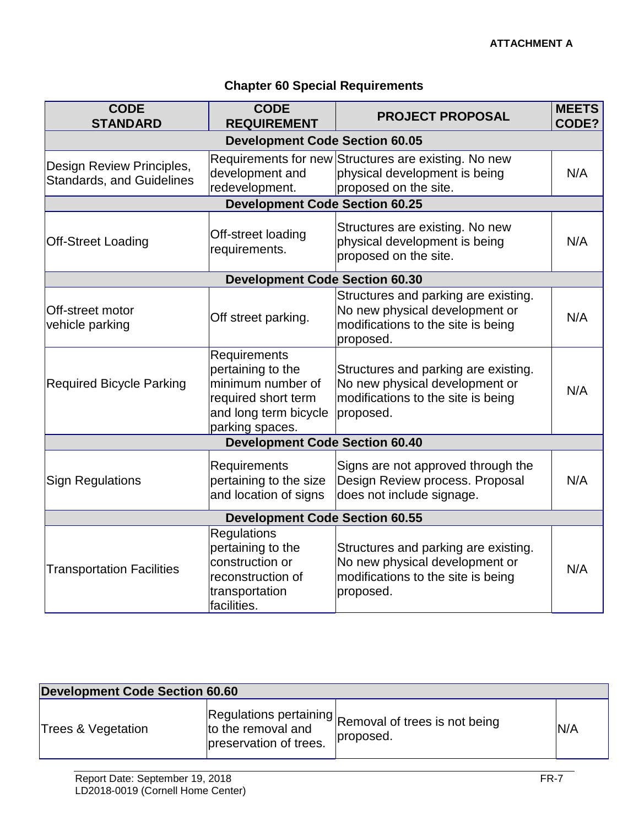# **Chapter 60 Special Requirements**

| <b>CODE</b><br><b>STANDARD</b>                                | <b>CODE</b><br><b>REQUIREMENT</b>                                                                                         | <b>PROJECT PROPOSAL</b>                                                                                                   | <b>MEETS</b><br>CODE? |  |  |
|---------------------------------------------------------------|---------------------------------------------------------------------------------------------------------------------------|---------------------------------------------------------------------------------------------------------------------------|-----------------------|--|--|
|                                                               | <b>Development Code Section 60.05</b>                                                                                     |                                                                                                                           |                       |  |  |
| Design Review Principles,<br><b>Standards, and Guidelines</b> | development and<br>redevelopment.                                                                                         | Requirements for new Structures are existing. No new<br>physical development is being<br>proposed on the site.            | N/A                   |  |  |
|                                                               | <b>Development Code Section 60.25</b>                                                                                     |                                                                                                                           |                       |  |  |
| <b>Off-Street Loading</b>                                     | Off-street loading<br>requirements.                                                                                       | Structures are existing. No new<br>physical development is being<br>proposed on the site.                                 | N/A                   |  |  |
|                                                               | <b>Development Code Section 60.30</b>                                                                                     |                                                                                                                           |                       |  |  |
| Off-street motor<br>vehicle parking                           | Off street parking.                                                                                                       | Structures and parking are existing.<br>No new physical development or<br>modifications to the site is being<br>proposed. | N/A                   |  |  |
| <b>Required Bicycle Parking</b>                               | Requirements<br>pertaining to the<br>minimum number of<br>required short term<br>and long term bicycle<br>parking spaces. | Structures and parking are existing.<br>No new physical development or<br>modifications to the site is being<br>proposed. | N/A                   |  |  |
|                                                               | <b>Development Code Section 60.40</b>                                                                                     |                                                                                                                           |                       |  |  |
| <b>Sign Regulations</b>                                       | Requirements<br>pertaining to the size<br>and location of signs                                                           | Signs are not approved through the<br>Design Review process. Proposal<br>does not include signage.                        | N/A                   |  |  |
| <b>Development Code Section 60.55</b>                         |                                                                                                                           |                                                                                                                           |                       |  |  |
| <b>Transportation Facilities</b>                              | <b>Regulations</b><br>pertaining to the<br>construction or<br>reconstruction of<br>transportation<br>facilities.          | Structures and parking are existing.<br>No new physical development or<br>modifications to the site is being<br>proposed. | N/A                   |  |  |

| <b>Development Code Section 60.60</b> |                                              |                                                                   |     |
|---------------------------------------|----------------------------------------------|-------------------------------------------------------------------|-----|
| Trees & Vegetation                    | to the removal and<br>preservation of trees. | Regulations pertaining Removal of trees is not being<br>proposed. | N/A |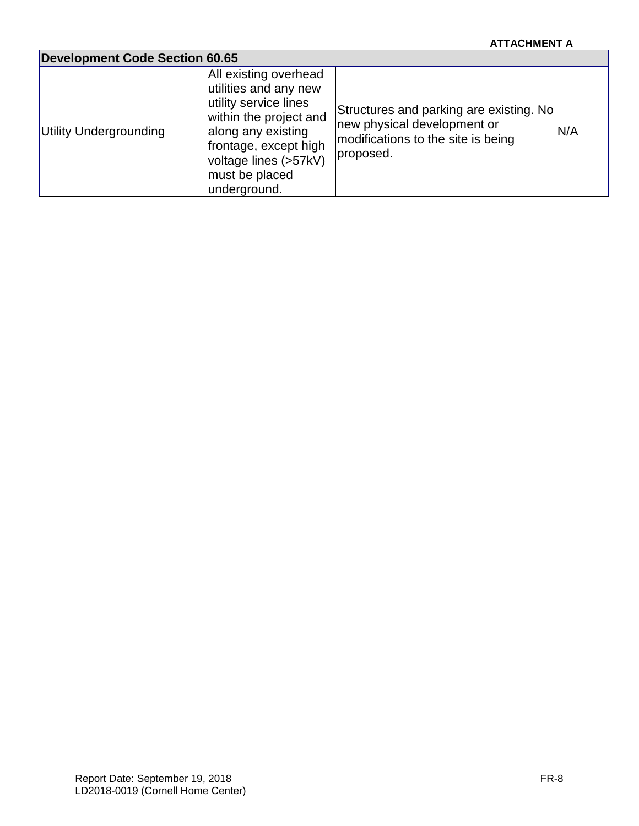# **ATTACHMENT A**

| <b>Development Code Section 60.65</b> |                                                                                                                                                                                                             |                                                                                                                           |     |
|---------------------------------------|-------------------------------------------------------------------------------------------------------------------------------------------------------------------------------------------------------------|---------------------------------------------------------------------------------------------------------------------------|-----|
| Utility Undergrounding                | All existing overhead<br>utilities and any new<br>utility service lines<br>within the project and<br>along any existing<br>frontage, except high<br>voltage lines (>57kV)<br>must be placed<br>underground. | Structures and parking are existing. No<br>new physical development or<br>modifications to the site is being<br>proposed. | N/A |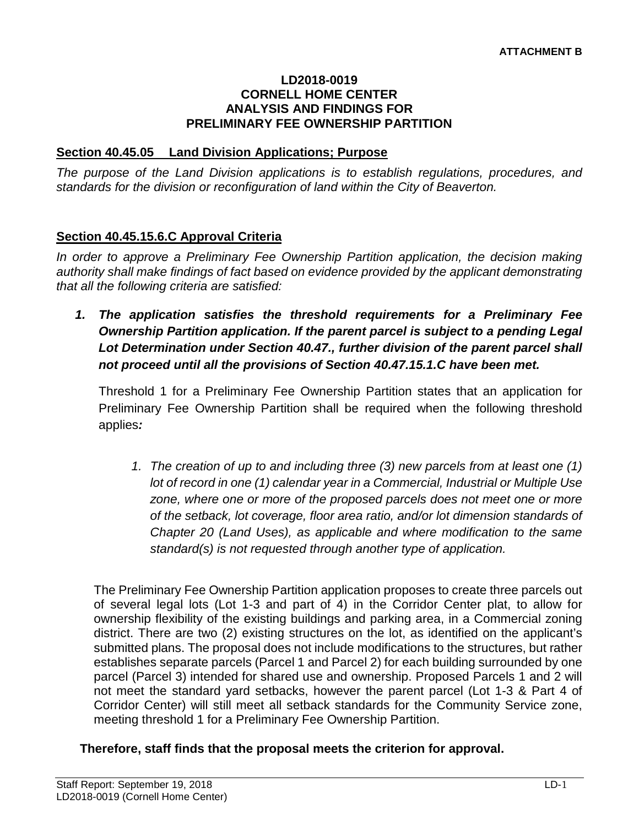#### **LD2018-0019 CORNELL HOME CENTER ANALYSIS AND FINDINGS FOR PRELIMINARY FEE OWNERSHIP PARTITION**

#### **Section 40.45.05 Land Division Applications; Purpose**

*The purpose of the Land Division applications is to establish regulations, procedures, and standards for the division or reconfiguration of land within the City of Beaverton.* 

# **Section 40.45.15.6.C Approval Criteria**

*In order to approve a Preliminary Fee Ownership Partition application, the decision making authority shall make findings of fact based on evidence provided by the applicant demonstrating that all the following criteria are satisfied:*

*1. The application satisfies the threshold requirements for a Preliminary Fee Ownership Partition application. If the parent parcel is subject to a pending Legal Lot Determination under Section 40.47., further division of the parent parcel shall not proceed until all the provisions of Section 40.47.15.1.C have been met.*

Threshold 1 for a Preliminary Fee Ownership Partition states that an application for Preliminary Fee Ownership Partition shall be required when the following threshold applies*:*

*1. The creation of up to and including three (3) new parcels from at least one (1) lot of record in one (1) calendar year in a Commercial, Industrial or Multiple Use zone, where one or more of the proposed parcels does not meet one or more of the setback, lot coverage, floor area ratio, and/or lot dimension standards of Chapter 20 (Land Uses), as applicable and where modification to the same standard(s) is not requested through another type of application.*

The Preliminary Fee Ownership Partition application proposes to create three parcels out of several legal lots (Lot 1-3 and part of 4) in the Corridor Center plat, to allow for ownership flexibility of the existing buildings and parking area, in a Commercial zoning district. There are two (2) existing structures on the lot, as identified on the applicant's submitted plans. The proposal does not include modifications to the structures, but rather establishes separate parcels (Parcel 1 and Parcel 2) for each building surrounded by one parcel (Parcel 3) intended for shared use and ownership. Proposed Parcels 1 and 2 will not meet the standard yard setbacks, however the parent parcel (Lot 1-3 & Part 4 of Corridor Center) will still meet all setback standards for the Community Service zone, meeting threshold 1 for a Preliminary Fee Ownership Partition.

**Therefore, staff finds that the proposal meets the criterion for approval.**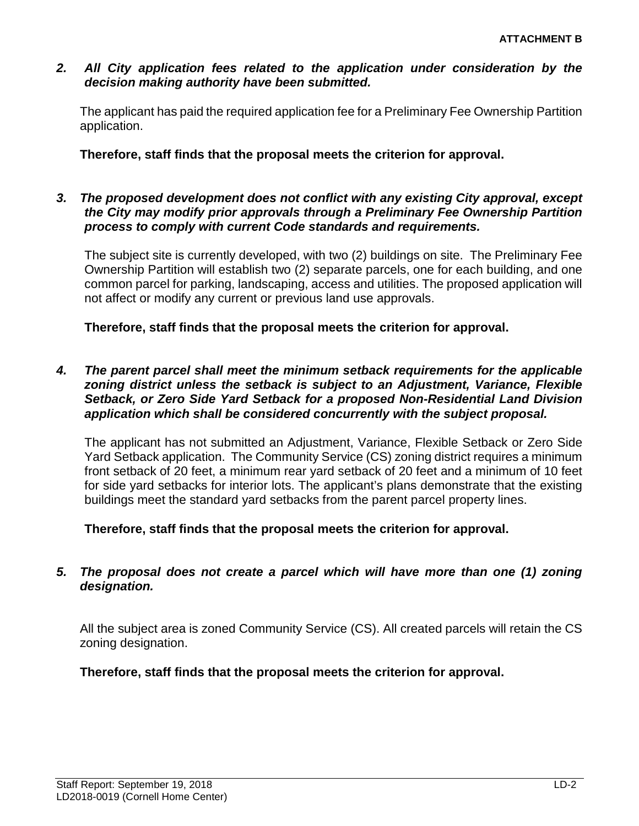#### *2. All City application fees related to the application under consideration by the decision making authority have been submitted.*

The applicant has paid the required application fee for a Preliminary Fee Ownership Partition application.

**Therefore, staff finds that the proposal meets the criterion for approval.**

# *3. The proposed development does not conflict with any existing City approval, except the City may modify prior approvals through a Preliminary Fee Ownership Partition process to comply with current Code standards and requirements.*

The subject site is currently developed, with two (2) buildings on site. The Preliminary Fee Ownership Partition will establish two (2) separate parcels, one for each building, and one common parcel for parking, landscaping, access and utilities. The proposed application will not affect or modify any current or previous land use approvals.

**Therefore, staff finds that the proposal meets the criterion for approval.**

### *4. The parent parcel shall meet the minimum setback requirements for the applicable zoning district unless the setback is subject to an Adjustment, Variance, Flexible Setback, or Zero Side Yard Setback for a proposed Non-Residential Land Division application which shall be considered concurrently with the subject proposal.*

The applicant has not submitted an Adjustment, Variance, Flexible Setback or Zero Side Yard Setback application. The Community Service (CS) zoning district requires a minimum front setback of 20 feet, a minimum rear yard setback of 20 feet and a minimum of 10 feet for side yard setbacks for interior lots. The applicant's plans demonstrate that the existing buildings meet the standard yard setbacks from the parent parcel property lines.

**Therefore, staff finds that the proposal meets the criterion for approval.**

# *5. The proposal does not create a parcel which will have more than one (1) zoning designation.*

All the subject area is zoned Community Service (CS). All created parcels will retain the CS zoning designation.

**Therefore, staff finds that the proposal meets the criterion for approval.**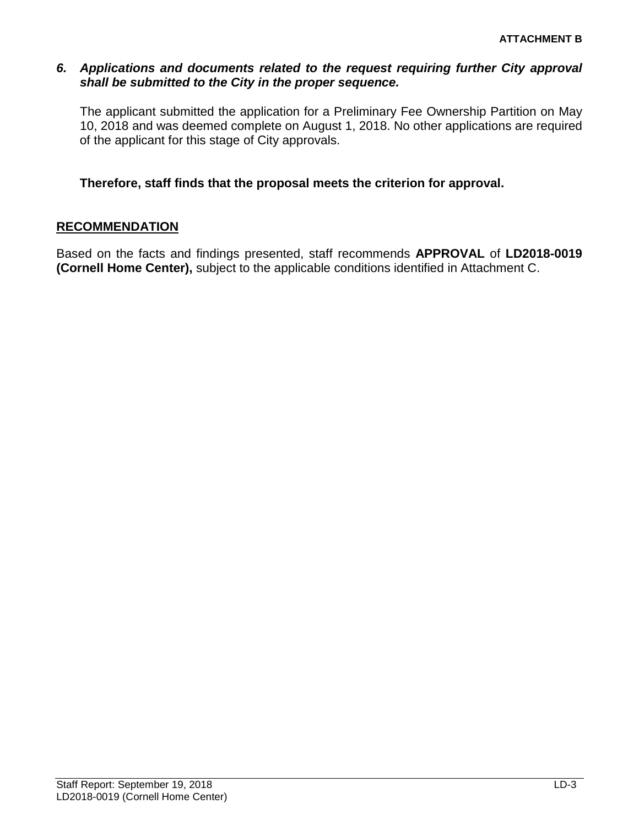#### *6. Applications and documents related to the request requiring further City approval shall be submitted to the City in the proper sequence.*

The applicant submitted the application for a Preliminary Fee Ownership Partition on May 10, 2018 and was deemed complete on August 1, 2018. No other applications are required of the applicant for this stage of City approvals.

# **Therefore, staff finds that the proposal meets the criterion for approval.**

### **RECOMMENDATION**

Based on the facts and findings presented, staff recommends **APPROVAL** of **LD2018-0019 (Cornell Home Center),** subject to the applicable conditions identified in Attachment C.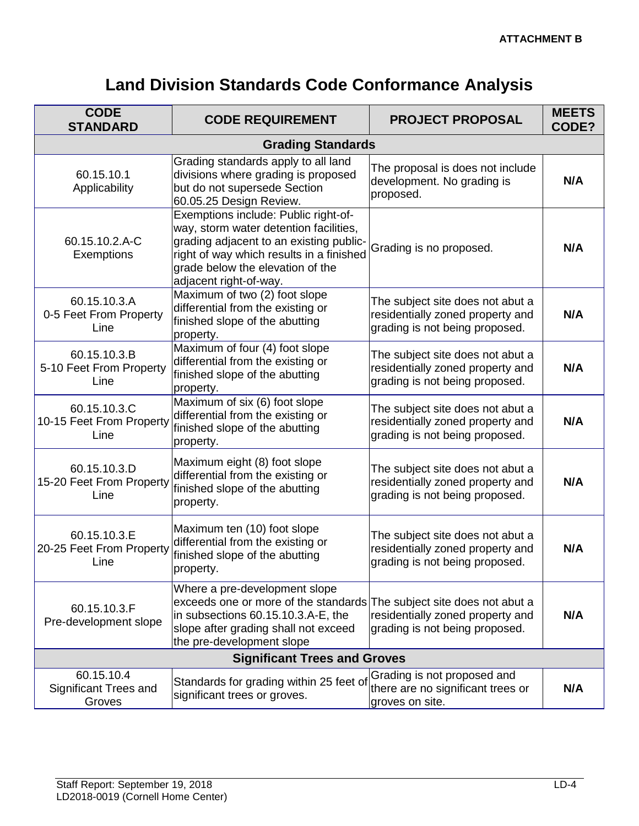# **Land Division Standards Code Conformance Analysis**

| <b>CODE</b><br><b>STANDARD</b>                       | <b>CODE REQUIREMENT</b>                                                                                                                                                                                                             | <b>PROJECT PROPOSAL</b>                                                                                | <b>MEETS</b><br>CODE? |  |
|------------------------------------------------------|-------------------------------------------------------------------------------------------------------------------------------------------------------------------------------------------------------------------------------------|--------------------------------------------------------------------------------------------------------|-----------------------|--|
|                                                      | <b>Grading Standards</b>                                                                                                                                                                                                            |                                                                                                        |                       |  |
| 60.15.10.1<br>Applicability                          | Grading standards apply to all land<br>divisions where grading is proposed<br>but do not supersede Section<br>60.05.25 Design Review.                                                                                               | The proposal is does not include<br>development. No grading is<br>proposed.                            | N/A                   |  |
| 60.15.10.2.A-C<br>Exemptions                         | Exemptions include: Public right-of-<br>way, storm water detention facilities,<br>grading adjacent to an existing public-<br>right of way which results in a finished<br>grade below the elevation of the<br>adjacent right-of-way. | Grading is no proposed.                                                                                | N/A                   |  |
| 60.15.10.3.A<br>0-5 Feet From Property<br>Line       | Maximum of two (2) foot slope<br>differential from the existing or<br>finished slope of the abutting<br>property.                                                                                                                   | The subject site does not abut a<br>residentially zoned property and<br>grading is not being proposed. | N/A                   |  |
| 60.15.10.3.B<br>5-10 Feet From Property<br>Line      | Maximum of four (4) foot slope<br>differential from the existing or<br>finished slope of the abutting<br>property.                                                                                                                  | The subject site does not abut a<br>residentially zoned property and<br>grading is not being proposed. | N/A                   |  |
| 60.15.10.3.C<br>10-15 Feet From Property<br>Line     | Maximum of six (6) foot slope<br>differential from the existing or<br>finished slope of the abutting<br>property.                                                                                                                   | The subject site does not abut a<br>residentially zoned property and<br>grading is not being proposed. | N/A                   |  |
| 60.15.10.3.D<br>15-20 Feet From Property<br>Line     | Maximum eight (8) foot slope<br>differential from the existing or<br>finished slope of the abutting<br>property.                                                                                                                    | The subject site does not abut a<br>residentially zoned property and<br>grading is not being proposed. | N/A                   |  |
| 60.15.10.3.E<br>20-25 Feet From Property<br>Line     | Maximum ten (10) foot slope<br>differential from the existing or<br>finished slope of the abutting<br>property.                                                                                                                     | The subject site does not abut a<br>residentially zoned property and<br>grading is not being proposed. | N/A                   |  |
| 60.15.10.3.F<br>Pre-development slope                | Where a pre-development slope<br>exceeds one or more of the standards The subject site does not abut a<br>in subsections 60.15.10.3.A-E, the<br>slope after grading shall not exceed<br>the pre-development slope                   | residentially zoned property and<br>grading is not being proposed.                                     | N/A                   |  |
| <b>Significant Trees and Groves</b>                  |                                                                                                                                                                                                                                     |                                                                                                        |                       |  |
| 60.15.10.4<br><b>Significant Trees and</b><br>Groves | Standards for grading within 25 feet of<br>significant trees or groves.                                                                                                                                                             | Grading is not proposed and<br>there are no significant trees or<br>groves on site.                    | N/A                   |  |